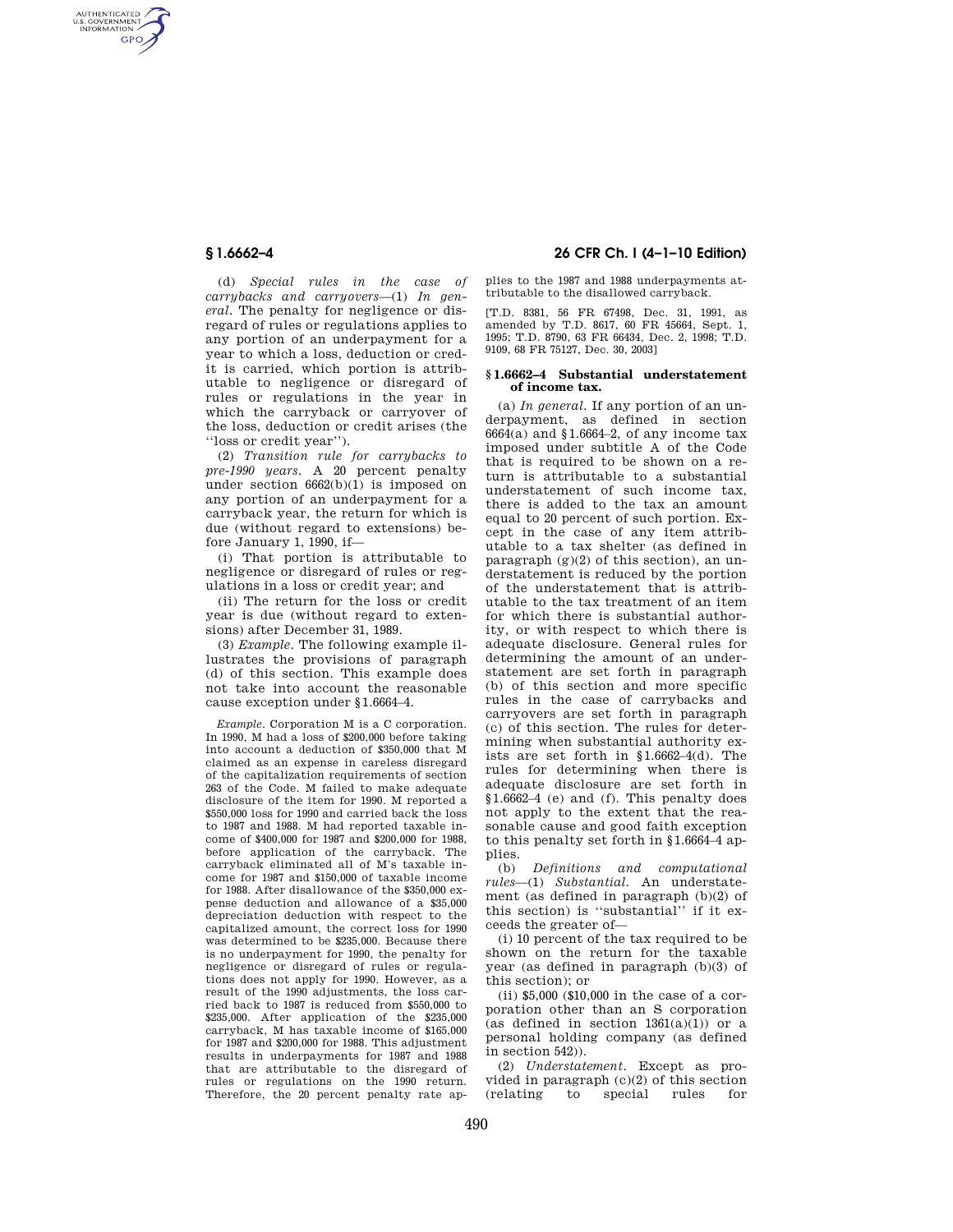AUTHENTICATED<br>U.S. GOVERNMENT<br>INFORMATION **GPO** 

> (d) *Special rules in the case of carrybacks and carryovers*—(1) *In general.* The penalty for negligence or disregard of rules or regulations applies to any portion of an underpayment for a year to which a loss, deduction or credit is carried, which portion is attributable to negligence or disregard of rules or regulations in the year in which the carryback or carryover of the loss, deduction or credit arises (the ''loss or credit year'').

> (2) *Transition rule for carrybacks to pre-1990 years.* A 20 percent penalty under section  $6662(b)(1)$  is imposed on any portion of an underpayment for a carryback year, the return for which is due (without regard to extensions) before January 1, 1990, if—

> (i) That portion is attributable to negligence or disregard of rules or regulations in a loss or credit year; and

> (ii) The return for the loss or credit year is due (without regard to extensions) after December 31, 1989.

> (3) *Example.* The following example illustrates the provisions of paragraph (d) of this section. This example does not take into account the reasonable cause exception under §1.6664–4.

> *Example.* Corporation M is a C corporation. In 1990, M had a loss of \$200,000 before taking into account a deduction of \$350,000 that M claimed as an expense in careless disregard of the capitalization requirements of section 263 of the Code. M failed to make adequate disclosure of the item for 1990. M reported a \$550,000 loss for 1990 and carried back the loss to 1987 and 1988. M had reported taxable income of \$400,000 for 1987 and \$200,000 for 1988, before application of the carryback. The carryback eliminated all of M's taxable income for 1987 and \$150,000 of taxable income for 1988. After disallowance of the \$350,000 expense deduction and allowance of a \$35,000 depreciation deduction with respect to the capitalized amount, the correct loss for 1990 was determined to be \$235,000. Because there is no underpayment for 1990, the penalty for negligence or disregard of rules or regulations does not apply for 1990. However, as a result of the 1990 adjustments, the loss carried back to 1987 is reduced from \$550,000 to \$235,000. After application of the \$235,000 carryback, M has taxable income of \$165,000 for 1987 and \$200,000 for 1988. This adjustment results in underpayments for 1987 and 1988 that are attributable to the disregard of rules or regulations on the 1990 return. Therefore, the 20 percent penalty rate ap-

## **§ 1.6662–4 26 CFR Ch. I (4–1–10 Edition)**

plies to the 1987 and 1988 underpayments attributable to the disallowed carryback.

[T.D. 8381, 56 FR 67498, Dec. 31, 1991, as amended by T.D. 8617, 60 FR 45664, Sept. 1, 1995; T.D. 8790, 63 FR 66434, Dec. 2, 1998; T.D. 9109, 68 FR 75127, Dec. 30, 2003]

### **§ 1.6662–4 Substantial understatement of income tax.**

(a) *In general.* If any portion of an underpayment, as defined in section  $6664(a)$  and §1.6664-2, of any income tax imposed under subtitle A of the Code that is required to be shown on a return is attributable to a substantial understatement of such income tax, there is added to the tax an amount equal to 20 percent of such portion. Except in the case of any item attributable to a tax shelter (as defined in paragraph  $(g)(2)$  of this section), an understatement is reduced by the portion of the understatement that is attributable to the tax treatment of an item for which there is substantial authority, or with respect to which there is adequate disclosure. General rules for determining the amount of an understatement are set forth in paragraph (b) of this section and more specific rules in the case of carrybacks and carryovers are set forth in paragraph (c) of this section. The rules for determining when substantial authority exists are set forth in §1.6662–4(d). The rules for determining when there is adequate disclosure are set forth in §1.6662–4 (e) and (f). This penalty does not apply to the extent that the reasonable cause and good faith exception to this penalty set forth in §1.6664–4 applies.

(b) *Definitions and computational rules*—(1) *Substantial.* An understatement (as defined in paragraph (b)(2) of this section) is ''substantial'' if it exceeds the greater of—

(i) 10 percent of the tax required to be shown on the return for the taxable year (as defined in paragraph (b)(3) of this section); or

(ii) \$5,000 (\$10,000 in the case of a corporation other than an S corporation (as defined in section  $1361(a)(1)$ ) or a personal holding company (as defined in section 542)).

(2) *Understatement.* Except as provided in paragraph  $(c)(2)$  of this section<br>(relating to special rules for  $(relating$  to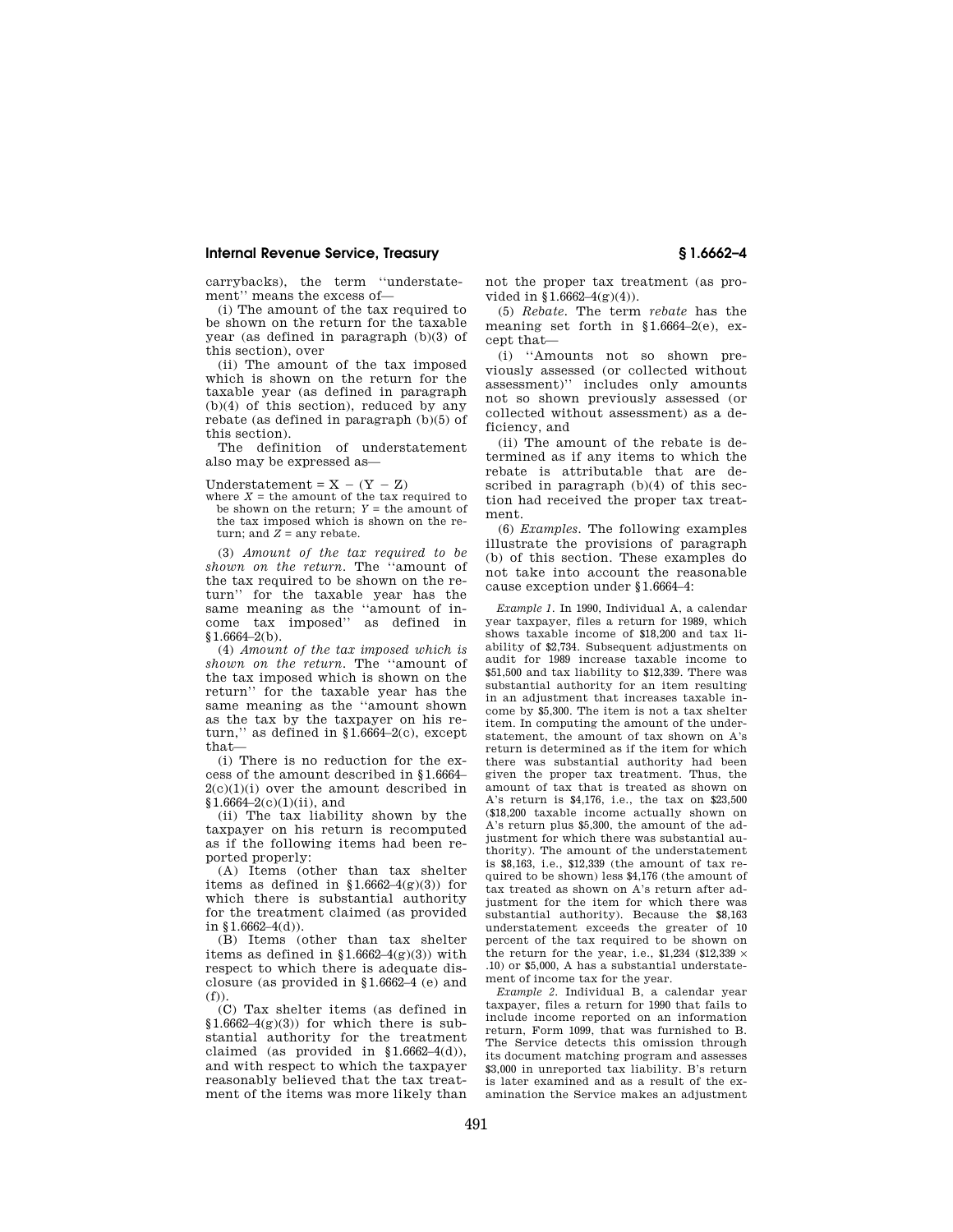carrybacks), the term ''understatement'' means the excess of—

(i) The amount of the tax required to be shown on the return for the taxable year (as defined in paragraph (b)(3) of this section), over

(ii) The amount of the tax imposed which is shown on the return for the taxable year (as defined in paragraph (b)(4) of this section), reduced by any rebate (as defined in paragraph (b)(5) of this section).

The definition of understatement also may be expressed as—

Understatement =  $X - (Y - Z)$ 

where  $X =$  the amount of the tax required to be shown on the return;  $Y =$  the amount of the tax imposed which is shown on the return; and  $Z = \text{any}$  rebate.

(3) *Amount of the tax required to be shown on the return.* The ''amount of the tax required to be shown on the return'' for the taxable year has the same meaning as the ''amount of income tax imposed'' as defined in  $$1.6664-2(b).$ 

(4) *Amount of the tax imposed which is shown on the return.* The ''amount of the tax imposed which is shown on the return'' for the taxable year has the same meaning as the ''amount shown as the tax by the taxpayer on his return," as defined in  $$1.6664-2(c)$ , except that—

(i) There is no reduction for the excess of the amount described in §1.6664–  $2(c)(1)(i)$  over the amount described in  $$1.6664-2(c)(1)(ii)$ , and

(ii) The tax liability shown by the taxpayer on his return is recomputed as if the following items had been reported properly:

(A) Items (other than tax shelter items as defined in  $$1.6662-4(g)(3)$  for which there is substantial authority for the treatment claimed (as provided in  $$1.6662-4(d)$ ).

(B) Items (other than tax shelter items as defined in  $$1.6662-4(g)(3)$  with respect to which there is adequate disclosure (as provided in §1.6662–4 (e) and (f)).

(C) Tax shelter items (as defined in  $$1.6662-4(g)(3)$  for which there is substantial authority for the treatment claimed (as provided in  $$1.6662-4(d)$ ), and with respect to which the taxpayer reasonably believed that the tax treatment of the items was more likely than

not the proper tax treatment (as provided in §1.6662–4(g)(4)).

(5) *Rebate.* The term *rebate* has the meaning set forth in §1.6664–2(e), except that—

(i) ''Amounts not so shown previously assessed (or collected without assessment)'' includes only amounts not so shown previously assessed (or collected without assessment) as a deficiency, and

(ii) The amount of the rebate is determined as if any items to which the rebate is attributable that are described in paragraph (b)(4) of this section had received the proper tax treatment.

(6) *Examples.* The following examples illustrate the provisions of paragraph (b) of this section. These examples do not take into account the reasonable cause exception under §1.6664–4:

*Example 1.* In 1990, Individual A, a calendar year taxpayer, files a return for 1989, which shows taxable income of \$18,200 and tax liability of \$2,734. Subsequent adjustments on audit for 1989 increase taxable income to \$51,500 and tax liability to \$12,339. There was substantial authority for an item resulting in an adjustment that increases taxable income by \$5,300. The item is not a tax shelter item. In computing the amount of the understatement, the amount of tax shown on A's return is determined as if the item for which there was substantial authority had been given the proper tax treatment. Thus, the amount of tax that is treated as shown on A's return is \$4,176, i.e., the tax on \$23,500 (\$18,200 taxable income actually shown on A's return plus \$5,300, the amount of the adjustment for which there was substantial authority). The amount of the understatement is \$8,163, i.e., \$12,339 (the amount of tax required to be shown) less \$4,176 (the amount of tax treated as shown on A's return after adjustment for the item for which there was substantial authority). Because the \$8,163 understatement exceeds the greater of 10 percent of the tax required to be shown on the return for the year, i.e., \$1,234 (\$12,339  $\times$ .10) or \$5,000, A has a substantial understatement of income tax for the year.

*Example 2.* Individual B, a calendar year taxpayer, files a return for 1990 that fails to include income reported on an information return, Form 1099, that was furnished to B. The Service detects this omission through its document matching program and assesses \$3,000 in unreported tax liability. B's return is later examined and as a result of the examination the Service makes an adjustment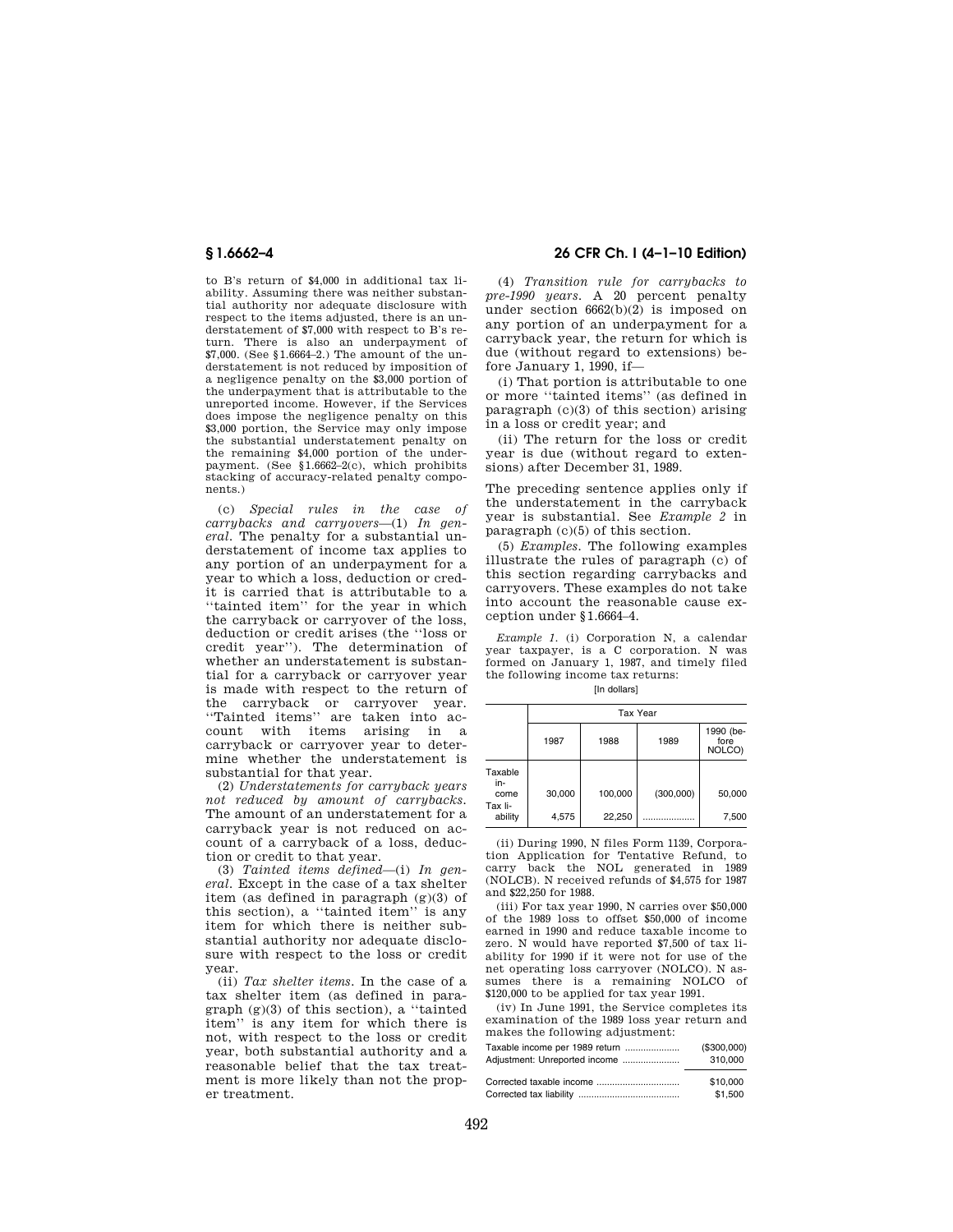to B's return of \$4,000 in additional tax liability. Assuming there was neither substantial authority nor adequate disclosure with respect to the items adjusted, there is an understatement of \$7,000 with respect to B's return. There is also an underpayment of \$7,000. (See §1.6664–2.) The amount of the understatement is not reduced by imposition of a negligence penalty on the \$3,000 portion of the underpayment that is attributable to the unreported income. However, if the Services does impose the negligence penalty on this \$3,000 portion, the Service may only impose the substantial understatement penalty on the remaining \$4,000 portion of the underpayment. (See §1.6662–2(c), which prohibits stacking of accuracy-related penalty components.)

(c) *Special rules in the case of carrybacks and carryovers*—(1) *In general.* The penalty for a substantial understatement of income tax applies to any portion of an underpayment for a year to which a loss, deduction or credit is carried that is attributable to a ''tainted item'' for the year in which the carryback or carryover of the loss, deduction or credit arises (the ''loss or credit year''). The determination of whether an understatement is substantial for a carryback or carryover year is made with respect to the return of the carryback or carryover year. ''Tainted items'' are taken into account with items arising in a carryback or carryover year to determine whether the understatement is substantial for that year.

(2) *Understatements for carryback years not reduced by amount of carrybacks.*  The amount of an understatement for a carryback year is not reduced on account of a carryback of a loss, deduction or credit to that year.

(3) *Tainted items defined*—(i) *In general.* Except in the case of a tax shelter item (as defined in paragraph (g)(3) of this section), a ''tainted item'' is any item for which there is neither substantial authority nor adequate disclosure with respect to the loss or credit year.

(ii) *Tax shelter items.* In the case of a tax shelter item (as defined in paragraph (g)(3) of this section), a ''tainted item'' is any item for which there is not, with respect to the loss or credit year, both substantial authority and a reasonable belief that the tax treatment is more likely than not the proper treatment.

## **§ 1.6662–4 26 CFR Ch. I (4–1–10 Edition)**

(4) *Transition rule for carrybacks to pre-1990 years.* A 20 percent penalty under section 6662(b)(2) is imposed on any portion of an underpayment for a carryback year, the return for which is due (without regard to extensions) before January 1, 1990, if—

(i) That portion is attributable to one or more ''tainted items'' (as defined in paragraph (c)(3) of this section) arising in a loss or credit year; and

(ii) The return for the loss or credit year is due (without regard to extensions) after December 31, 1989.

The preceding sentence applies only if the understatement in the carryback year is substantial. See *Example 2* in paragraph (c)(5) of this section.

(5) *Examples.* The following examples illustrate the rules of paragraph (c) of this section regarding carrybacks and carryovers. These examples do not take into account the reasonable cause exception under §1.6664–4.

*Example 1.* (i) Corporation N, a calendar year taxpayer, is a C corporation. N was formed on January 1, 1987, and timely filed the following income tax returns:

[In dollars]

|                    | <b>Tax Year</b> |         |           |                             |
|--------------------|-----------------|---------|-----------|-----------------------------|
|                    | 1987            | 1988    | 1989      | 1990 (be-<br>fore<br>NOLCO) |
| Taxable<br>in-     |                 |         |           |                             |
| come               | 30,000          | 100,000 | (300,000) | 50,000                      |
| Tax li-<br>ability | 4,575           | 22,250  |           | 7,500                       |

(ii) During 1990, N files Form 1139, Corporation Application for Tentative Refund, to carry back the NOL generated in 1989 (NOLCB). N received refunds of \$4,575 for 1987 and \$22,250 for 1988.

(iii) For tax year 1990, N carries over \$50,000 of the 1989 loss to offset \$50,000 of income earned in 1990 and reduce taxable income to zero. N would have reported \$7,500 of tax liability for 1990 if it were not for use of the net operating loss carryover (NOLCO). N assumes there is a remaining NOLCO of \$120,000 to be applied for tax year 1991.

(iv) In June 1991, the Service completes its examination of the 1989 loss year return and makes the following adjustment:

| Taxable income per 1989 return | (\$300,000) |
|--------------------------------|-------------|
| Adjustment: Unreported income  | 310,000     |
|                                | \$10,000    |
|                                | \$1,500     |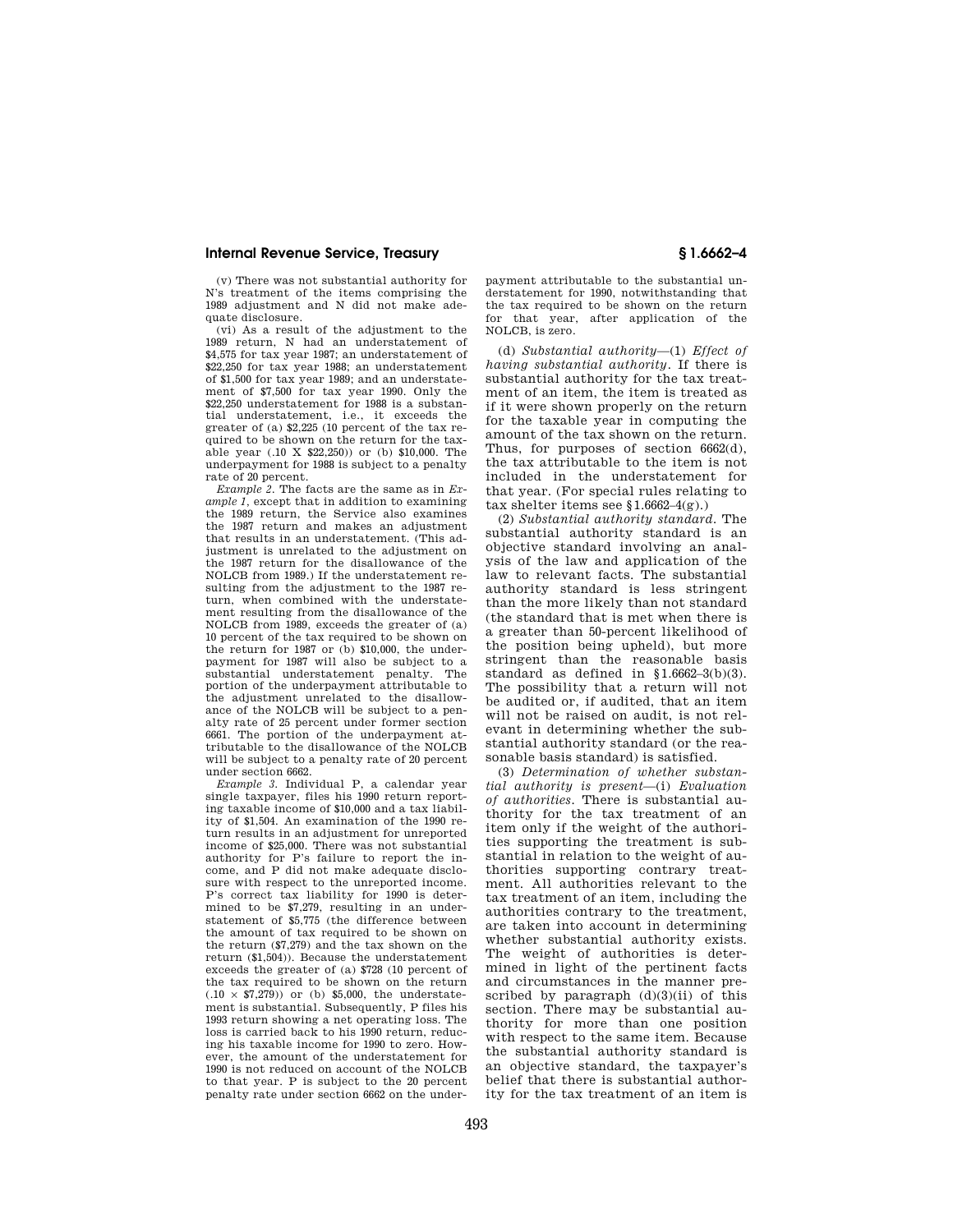(v) There was not substantial authority for N's treatment of the items comprising the 1989 adjustment and N did not make adequate disclosure.

(vi) As a result of the adjustment to the 1989 return, N had an understatement of \$4,575 for tax year 1987; an understatement of \$22,250 for tax year 1988; an understatement of \$1,500 for tax year 1989; and an understatement of \$7,500 for tax year 1990. Only the \$22,250 understatement for 1988 is a substantial understatement, i.e., it exceeds the greater of (a) \$2,225 (10 percent of the tax required to be shown on the return for the taxable year (.10 X \$22,250)) or (b) \$10,000. The underpayment for 1988 is subject to a penalty rate of 20 percent.

*Example 2.* The facts are the same as in *Example 1,* except that in addition to examining the 1989 return, the Service also examines the 1987 return and makes an adjustment that results in an understatement. (This adjustment is unrelated to the adjustment on the 1987 return for the disallowance of the NOLCB from 1989.) If the understatement resulting from the adjustment to the 1987 return, when combined with the understatement resulting from the disallowance of the NOLCB from 1989, exceeds the greater of (a) 10 percent of the tax required to be shown on the return for 1987 or (b) \$10,000, the underpayment for 1987 will also be subject to a substantial understatement penalty. portion of the underpayment attributable to the adjustment unrelated to the disallowance of the NOLCB will be subject to a penalty rate of 25 percent under former section 6661. The portion of the underpayment attributable to the disallowance of the NOLCB will be subject to a penalty rate of 20 percent under section 6662.

*Example 3.* Individual P, a calendar year single taxpayer, files his 1990 return reporting taxable income of \$10,000 and a tax liability of \$1,504. An examination of the 1990 return results in an adjustment for unreported income of \$25,000. There was not substantial authority for P's failure to report the income, and P did not make adequate disclosure with respect to the unreported income. P's correct tax liability for 1990 is determined to be \$7,279, resulting in an understatement of \$5,775 (the difference between the amount of tax required to be shown on the return (\$7,279) and the tax shown on the return (\$1,504)). Because the understatement exceeds the greater of (a) \$728 (10 percent of the tax required to be shown on the return  $(.10 \times $7,279)$  or (b) \$5,000, the understatement is substantial. Subsequently, P files his 1993 return showing a net operating loss. The loss is carried back to his 1990 return, reducing his taxable income for 1990 to zero. However, the amount of the understatement for 1990 is not reduced on account of the NOLCB to that year. P is subject to the 20 percent penalty rate under section 6662 on the underpayment attributable to the substantial understatement for 1990, notwithstanding that the tax required to be shown on the return for that year, after application of the NOLCB, is zero.

(d) *Substantial authority*—(1) *Effect of having substantial authority.* If there is substantial authority for the tax treatment of an item, the item is treated as if it were shown properly on the return for the taxable year in computing the amount of the tax shown on the return. Thus, for purposes of section 6662(d), the tax attributable to the item is not included in the understatement for that year. (For special rules relating to tax shelter items see §1.6662–4(g).)

(2) *Substantial authority standard.* The substantial authority standard is an objective standard involving an analysis of the law and application of the law to relevant facts. The substantial authority standard is less stringent than the more likely than not standard (the standard that is met when there is a greater than 50-percent likelihood of the position being upheld), but more stringent than the reasonable basis standard as defined in §1.6662–3(b)(3). The possibility that a return will not be audited or, if audited, that an item will not be raised on audit, is not relevant in determining whether the substantial authority standard (or the reasonable basis standard) is satisfied.

(3) *Determination of whether substantial authority is present*—(i) *Evaluation of authorities.* There is substantial authority for the tax treatment of an item only if the weight of the authorities supporting the treatment is substantial in relation to the weight of authorities supporting contrary treatment. All authorities relevant to the tax treatment of an item, including the authorities contrary to the treatment, are taken into account in determining whether substantial authority exists. The weight of authorities is determined in light of the pertinent facts and circumstances in the manner prescribed by paragraph  $(d)(3)(ii)$  of this section. There may be substantial authority for more than one position with respect to the same item. Because the substantial authority standard is an objective standard, the taxpayer's belief that there is substantial authority for the tax treatment of an item is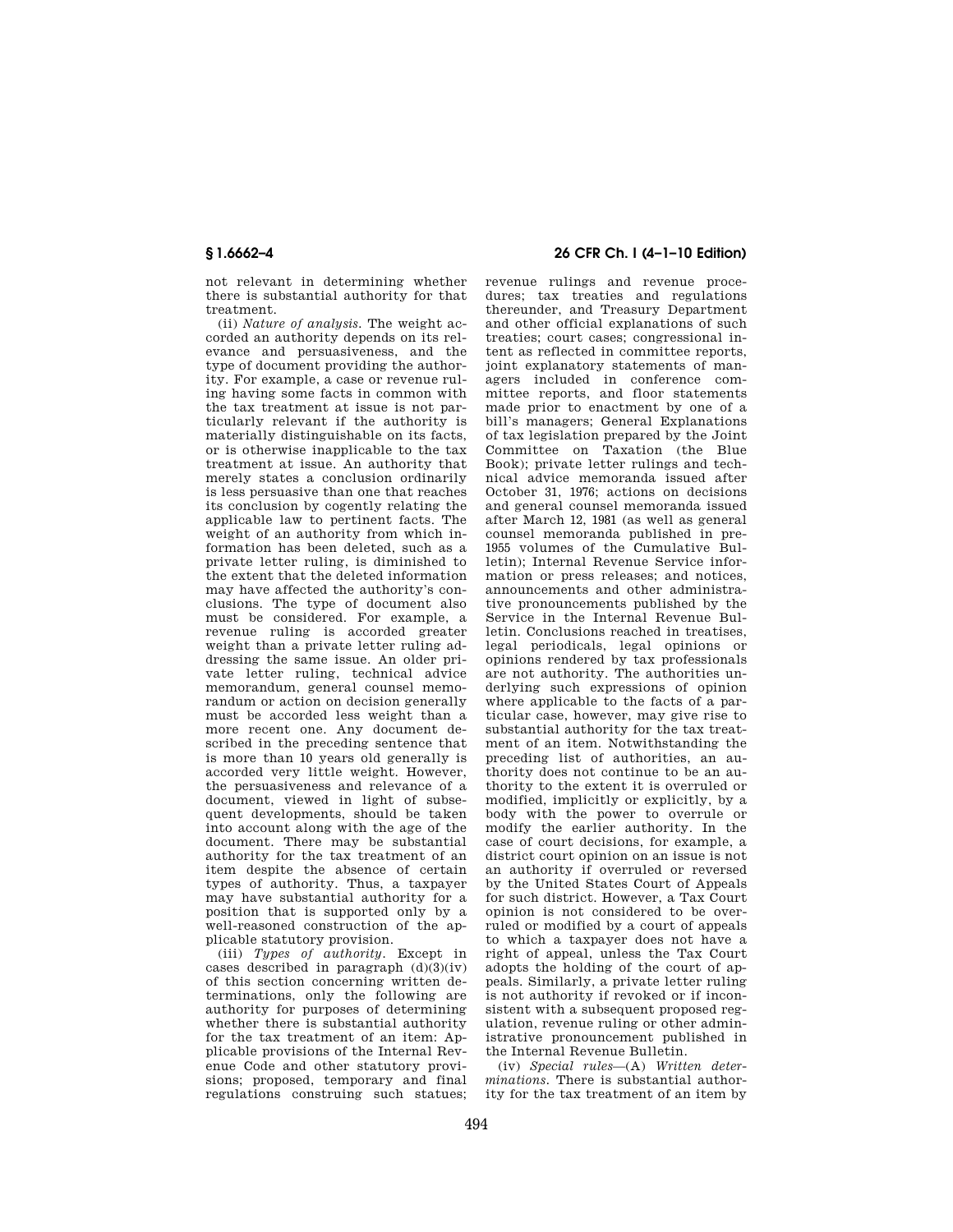not relevant in determining whether there is substantial authority for that treatment.

(ii) *Nature of analysis.* The weight accorded an authority depends on its relevance and persuasiveness, and the type of document providing the authority. For example, a case or revenue ruling having some facts in common with the tax treatment at issue is not particularly relevant if the authority is materially distinguishable on its facts, or is otherwise inapplicable to the tax treatment at issue. An authority that merely states a conclusion ordinarily is less persuasive than one that reaches its conclusion by cogently relating the applicable law to pertinent facts. The weight of an authority from which information has been deleted, such as a private letter ruling, is diminished to the extent that the deleted information may have affected the authority's conclusions. The type of document also must be considered. For example, a revenue ruling is accorded greater weight than a private letter ruling addressing the same issue. An older private letter ruling, technical advice memorandum, general counsel memorandum or action on decision generally must be accorded less weight than a more recent one. Any document described in the preceding sentence that is more than 10 years old generally is accorded very little weight. However, the persuasiveness and relevance of a document, viewed in light of subsequent developments, should be taken into account along with the age of the document. There may be substantial authority for the tax treatment of an item despite the absence of certain types of authority. Thus, a taxpayer may have substantial authority for a position that is supported only by a well-reasoned construction of the applicable statutory provision.

(iii) *Types of authority.* Except in cases described in paragraph  $(d)(3)(iv)$ of this section concerning written determinations, only the following are authority for purposes of determining whether there is substantial authority for the tax treatment of an item: Applicable provisions of the Internal Revenue Code and other statutory provisions; proposed, temporary and final regulations construing such statues;

# **§ 1.6662–4 26 CFR Ch. I (4–1–10 Edition)**

revenue rulings and revenue procedures; tax treaties and regulations thereunder, and Treasury Department and other official explanations of such treaties; court cases; congressional intent as reflected in committee reports, joint explanatory statements of managers included in conference committee reports, and floor statements made prior to enactment by one of a bill's managers; General Explanations of tax legislation prepared by the Joint Committee on Taxation (the Blue Book); private letter rulings and technical advice memoranda issued after October 31, 1976; actions on decisions and general counsel memoranda issued after March 12, 1981 (as well as general counsel memoranda published in pre-1955 volumes of the Cumulative Bulletin); Internal Revenue Service information or press releases; and notices, announcements and other administrative pronouncements published by the Service in the Internal Revenue Bulletin. Conclusions reached in treatises, legal periodicals, legal opinions or opinions rendered by tax professionals are not authority. The authorities underlying such expressions of opinion where applicable to the facts of a particular case, however, may give rise to substantial authority for the tax treatment of an item. Notwithstanding the preceding list of authorities, an authority does not continue to be an authority to the extent it is overruled or modified, implicitly or explicitly, by a body with the power to overrule or modify the earlier authority. In the case of court decisions, for example, a district court opinion on an issue is not an authority if overruled or reversed by the United States Court of Appeals for such district. However, a Tax Court opinion is not considered to be overruled or modified by a court of appeals to which a taxpayer does not have a right of appeal, unless the Tax Court adopts the holding of the court of appeals. Similarly, a private letter ruling is not authority if revoked or if inconsistent with a subsequent proposed regulation, revenue ruling or other administrative pronouncement published in the Internal Revenue Bulletin.

(iv) *Special rules*—(A) *Written determinations.* There is substantial authority for the tax treatment of an item by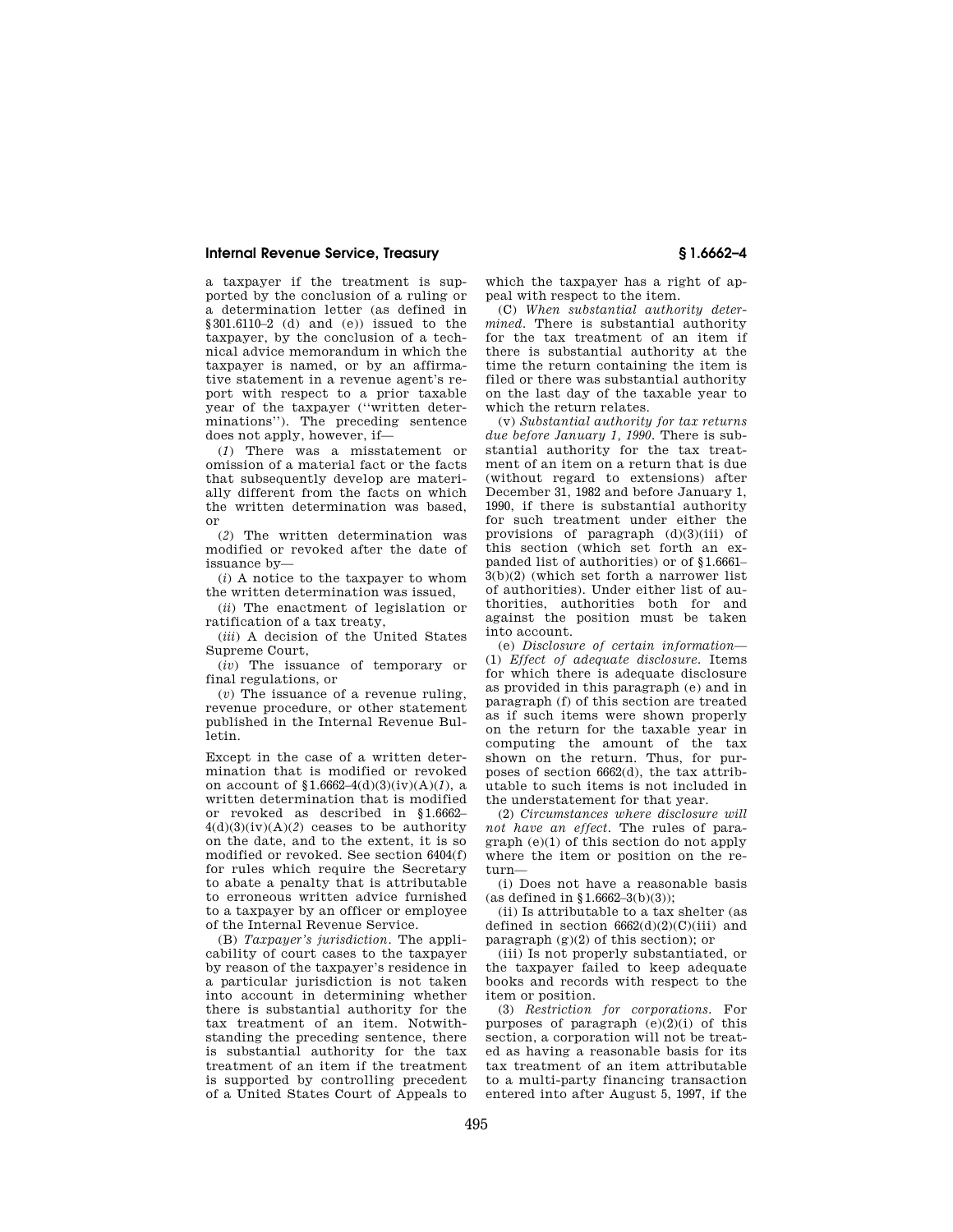a taxpayer if the treatment is supported by the conclusion of a ruling or a determination letter (as defined in §301.6110–2 (d) and (e)) issued to the taxpayer, by the conclusion of a technical advice memorandum in which the taxpayer is named, or by an affirmative statement in a revenue agent's report with respect to a prior taxable year of the taxpayer (''written determinations''). The preceding sentence does not apply, however, if—

(*1*) There was a misstatement or omission of a material fact or the facts that subsequently develop are materially different from the facts on which the written determination was based, or

(*2*) The written determination was modified or revoked after the date of issuance by—

(*i*) A notice to the taxpayer to whom the written determination was issued,

(*ii*) The enactment of legislation or ratification of a tax treaty,

(*iii*) A decision of the United States Supreme Court,

(*iv*) The issuance of temporary or final regulations, or

(*v*) The issuance of a revenue ruling, revenue procedure, or other statement published in the Internal Revenue Bulletin.

Except in the case of a written determination that is modified or revoked on account of §1.6662–4(d)(3)(iv)(A)(*1*), a written determination that is modified or revoked as described in §1.6662–  $4(d)(3)(iv)(A)(2)$  ceases to be authority on the date, and to the extent, it is so modified or revoked. See section 6404(f) for rules which require the Secretary to abate a penalty that is attributable to erroneous written advice furnished to a taxpayer by an officer or employee of the Internal Revenue Service.

(B) *Taxpayer's jurisdiction.* The applicability of court cases to the taxpayer by reason of the taxpayer's residence in a particular jurisdiction is not taken into account in determining whether there is substantial authority for the tax treatment of an item. Notwithstanding the preceding sentence, there is substantial authority for the tax treatment of an item if the treatment is supported by controlling precedent of a United States Court of Appeals to

which the taxpayer has a right of appeal with respect to the item.

(C) *When substantial authority determined.* There is substantial authority for the tax treatment of an item if there is substantial authority at the time the return containing the item is filed or there was substantial authority on the last day of the taxable year to which the return relates.

(v) *Substantial authority for tax returns due before January 1, 1990.* There is substantial authority for the tax treatment of an item on a return that is due (without regard to extensions) after December 31, 1982 and before January 1, 1990, if there is substantial authority for such treatment under either the provisions of paragraph (d)(3)(iii) of this section (which set forth an expanded list of authorities) or of §1.6661– 3(b)(2) (which set forth a narrower list of authorities). Under either list of authorities, authorities both for and against the position must be taken into account.

(e) *Disclosure of certain information*— (1) *Effect of adequate disclosure.* Items for which there is adequate disclosure as provided in this paragraph (e) and in paragraph (f) of this section are treated as if such items were shown properly on the return for the taxable year in computing the amount of the tax shown on the return. Thus, for purposes of section 6662(d), the tax attributable to such items is not included in the understatement for that year.

(2) *Circumstances where disclosure will not have an effect.* The rules of paragraph (e)(1) of this section do not apply where the item or position on the return—

(i) Does not have a reasonable basis (as defined in §1.6662–3(b)(3));

(ii) Is attributable to a tax shelter (as defined in section  $6662(d)(2)(C)(iii)$  and paragraph  $(g)(2)$  of this section); or

(iii) Is not properly substantiated, or the taxpayer failed to keep adequate books and records with respect to the item or position.

(3) *Restriction for corporations.* For purposes of paragraph  $(e)(2)(i)$  of this section, a corporation will not be treated as having a reasonable basis for its tax treatment of an item attributable to a multi-party financing transaction entered into after August 5, 1997, if the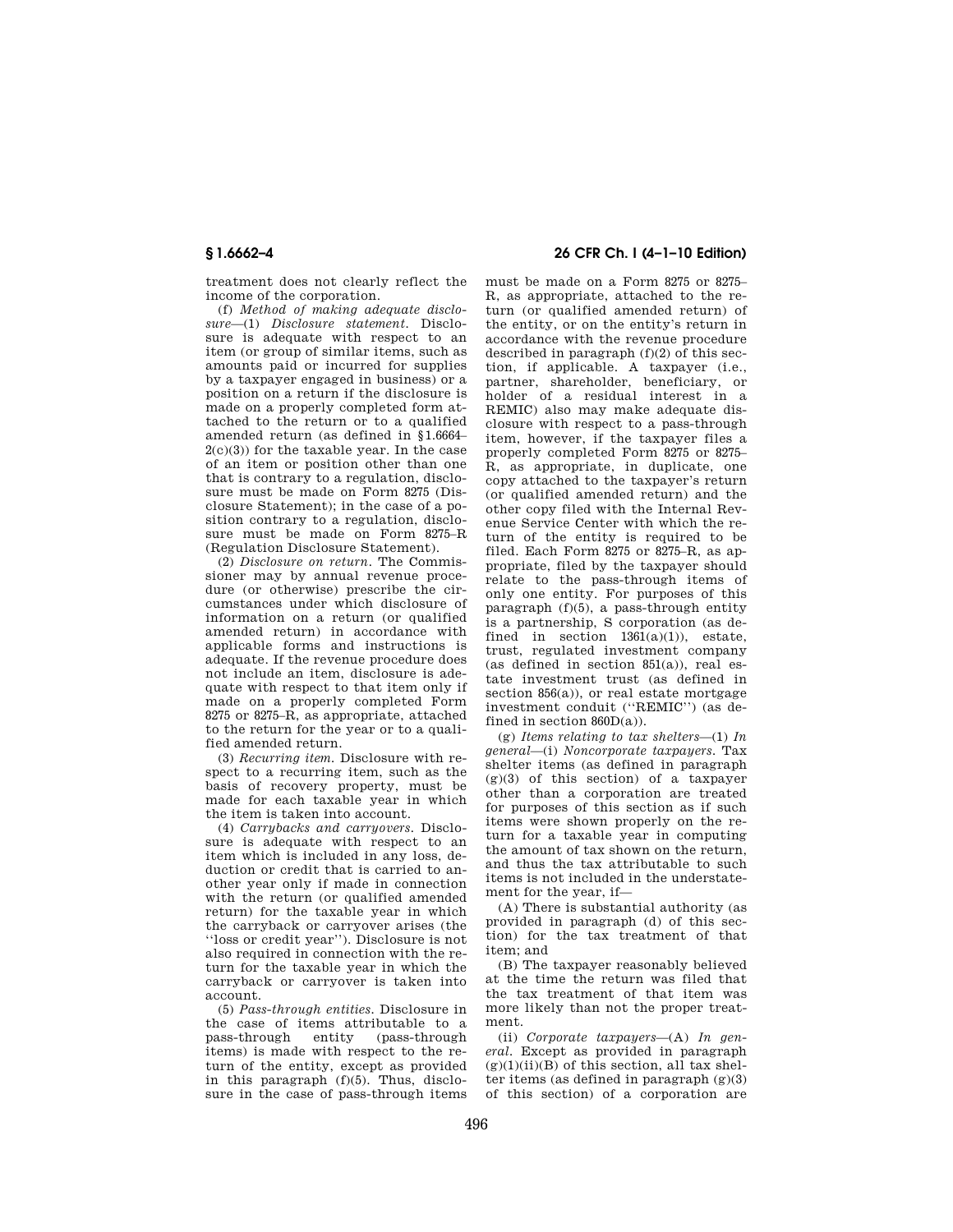treatment does not clearly reflect the income of the corporation.

(f) *Method of making adequate disclosure*—(1) *Disclosure statement.* Disclosure is adequate with respect to an item (or group of similar items, such as amounts paid or incurred for supplies by a taxpayer engaged in business) or a position on a return if the disclosure is made on a properly completed form attached to the return or to a qualified amended return (as defined in §1.6664– 2(c)(3)) for the taxable year. In the case of an item or position other than one that is contrary to a regulation, disclosure must be made on Form 8275 (Disclosure Statement); in the case of a position contrary to a regulation, disclosure must be made on Form 8275–R (Regulation Disclosure Statement).

(2) *Disclosure on return.* The Commissioner may by annual revenue procedure (or otherwise) prescribe the circumstances under which disclosure of information on a return (or qualified amended return) in accordance with applicable forms and instructions is adequate. If the revenue procedure does not include an item, disclosure is adequate with respect to that item only if made on a properly completed Form 8275 or 8275–R, as appropriate, attached to the return for the year or to a qualified amended return.

(3) *Recurring item.* Disclosure with respect to a recurring item, such as the basis of recovery property, must be made for each taxable year in which the item is taken into account.

(4) *Carrybacks and carryovers.* Disclosure is adequate with respect to an item which is included in any loss, deduction or credit that is carried to another year only if made in connection with the return (or qualified amended return) for the taxable year in which the carryback or carryover arises (the ''loss or credit year''). Disclosure is not also required in connection with the return for the taxable year in which the carryback or carryover is taken into account.

(5) *Pass-through entities.* Disclosure in the case of items attributable to a<br>pass-through entity (pass-through pass-through entity (pass-through items) is made with respect to the return of the entity, except as provided in this paragraph (f)(5). Thus, disclosure in the case of pass-through items

# **§ 1.6662–4 26 CFR Ch. I (4–1–10 Edition)**

must be made on a Form 8275 or 8275– R, as appropriate, attached to the return (or qualified amended return) of the entity, or on the entity's return in accordance with the revenue procedure described in paragraph  $(f)(2)$  of this section, if applicable. A taxpayer (i.e., partner, shareholder, beneficiary, or holder of a residual interest in a REMIC) also may make adequate disclosure with respect to a pass-through item, however, if the taxpayer files a properly completed Form 8275 or 8275– R, as appropriate, in duplicate, one copy attached to the taxpayer's return (or qualified amended return) and the other copy filed with the Internal Revenue Service Center with which the return of the entity is required to be filed. Each Form 8275 or 8275–R, as appropriate, filed by the taxpayer should relate to the pass-through items of only one entity. For purposes of this paragraph  $(f)(5)$ , a pass-through entity is a partnership, S corporation (as defined in section  $1361(a)(1)$ , estate, trust, regulated investment company (as defined in section  $851(a)$ ), real estate investment trust (as defined in section  $856(a)$ , or real estate mortgage investment conduit (''REMIC'') (as defined in section  $860D(a)$ ).

(g) *Items relating to tax shelters*—(1) *In general*—(i) *Noncorporate taxpayers.* Tax shelter items (as defined in paragraph  $(g)(3)$  of this section) of a taxpayer other than a corporation are treated for purposes of this section as if such items were shown properly on the return for a taxable year in computing the amount of tax shown on the return, and thus the tax attributable to such items is not included in the understatement for the year, if—

(A) There is substantial authority (as provided in paragraph (d) of this section) for the tax treatment of that item; and

(B) The taxpayer reasonably believed at the time the return was filed that the tax treatment of that item was more likely than not the proper treatment.

(ii) *Corporate taxpayers*—(A) *In general.* Except as provided in paragraph  $(g)(1)(ii)(B)$  of this section, all tax shelter items (as defined in paragraph (g)(3) of this section) of a corporation are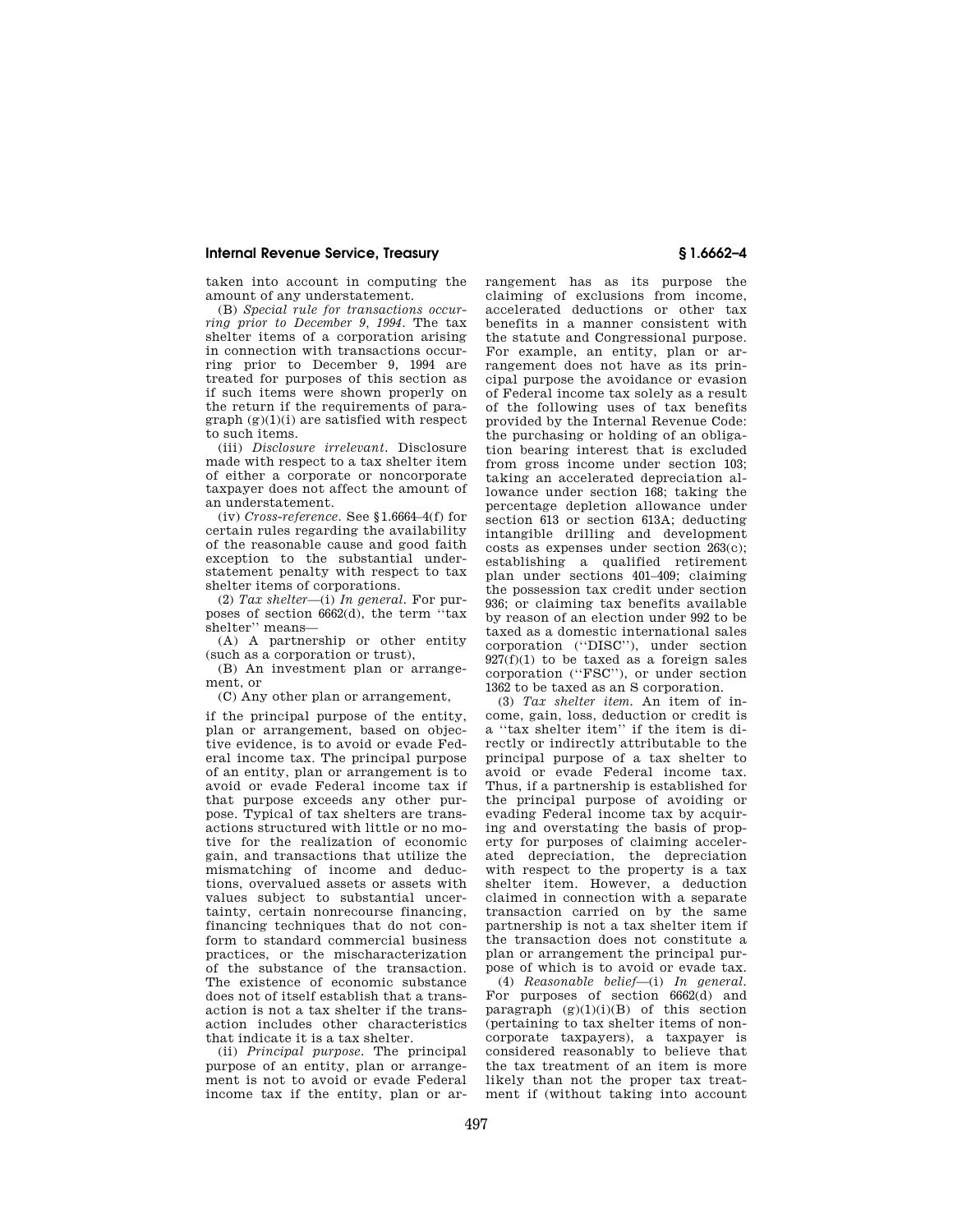taken into account in computing the amount of any understatement.

(B) *Special rule for transactions occurring prior to December 9, 1994.* The tax shelter items of a corporation arising in connection with transactions occurring prior to December 9, 1994 are treated for purposes of this section as if such items were shown properly on the return if the requirements of para $graph (g)(1)(i)$  are satisfied with respect to such items.

(iii) *Disclosure irrelevant.* Disclosure made with respect to a tax shelter item of either a corporate or noncorporate taxpayer does not affect the amount of an understatement.

(iv) *Cross-reference.* See §1.6664–4(f) for certain rules regarding the availability of the reasonable cause and good faith exception to the substantial understatement penalty with respect to tax shelter items of corporations.

(2) *Tax shelter*—(i) *In general.* For purposes of section 6662(d), the term ''tax shelter'' means—

(A) A partnership or other entity (such as a corporation or trust),

(B) An investment plan or arrangement, or

(C) Any other plan or arrangement,

if the principal purpose of the entity, plan or arrangement, based on objective evidence, is to avoid or evade Federal income tax. The principal purpose of an entity, plan or arrangement is to avoid or evade Federal income tax if that purpose exceeds any other purpose. Typical of tax shelters are transactions structured with little or no motive for the realization of economic gain, and transactions that utilize the mismatching of income and deductions, overvalued assets or assets with values subject to substantial uncertainty, certain nonrecourse financing, financing techniques that do not conform to standard commercial business practices, or the mischaracterization of the substance of the transaction. The existence of economic substance does not of itself establish that a transaction is not a tax shelter if the transaction includes other characteristics that indicate it is a tax shelter.

(ii) *Principal purpose.* The principal purpose of an entity, plan or arrangement is not to avoid or evade Federal income tax if the entity, plan or arrangement has as its purpose the claiming of exclusions from income, accelerated deductions or other tax benefits in a manner consistent with the statute and Congressional purpose. For example, an entity, plan or arrangement does not have as its principal purpose the avoidance or evasion of Federal income tax solely as a result of the following uses of tax benefits provided by the Internal Revenue Code: the purchasing or holding of an obligation bearing interest that is excluded from gross income under section 103; taking an accelerated depreciation allowance under section 168; taking the percentage depletion allowance under section 613 or section 613A; deducting intangible drilling and development costs as expenses under section  $263(c)$ ; establishing a qualified retirement plan under sections 401–409; claiming the possession tax credit under section 936; or claiming tax benefits available by reason of an election under 992 to be taxed as a domestic international sales corporation (''DISC''), under section  $927(f)(1)$  to be taxed as a foreign sales corporation (''FSC''), or under section 1362 to be taxed as an S corporation.

(3) *Tax shelter item.* An item of income, gain, loss, deduction or credit is a ''tax shelter item'' if the item is directly or indirectly attributable to the principal purpose of a tax shelter to avoid or evade Federal income tax. Thus, if a partnership is established for the principal purpose of avoiding or evading Federal income tax by acquiring and overstating the basis of property for purposes of claiming accelerated depreciation, the depreciation with respect to the property is a tax shelter item. However, a deduction claimed in connection with a separate transaction carried on by the same partnership is not a tax shelter item if the transaction does not constitute a plan or arrangement the principal purpose of which is to avoid or evade tax.

(4) *Reasonable belief*—(i) *In general.*  For purposes of section 6662(d) and paragraph  $(g)(1)(i)(B)$  of this section (pertaining to tax shelter items of noncorporate taxpayers), a taxpayer is considered reasonably to believe that the tax treatment of an item is more likely than not the proper tax treatment if (without taking into account